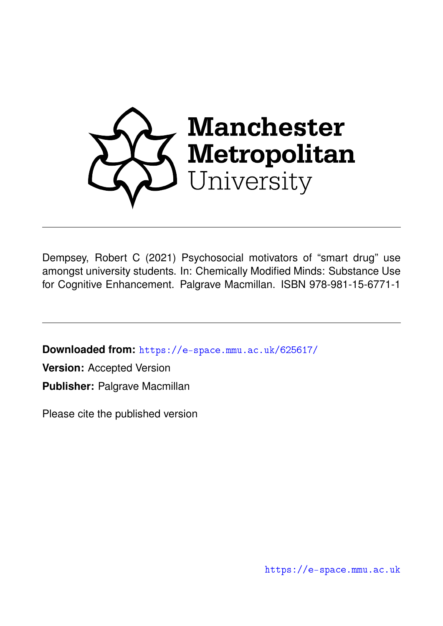

Dempsey, Robert C (2021) Psychosocial motivators of "smart drug" use amongst university students. In: Chemically Modified Minds: Substance Use for Cognitive Enhancement. Palgrave Macmillan. ISBN 978-981-15-6771-1

**Downloaded from:** <https://e-space.mmu.ac.uk/625617/>

**Version:** Accepted Version **Publisher:** Palgrave Macmillan

Please cite the published version

<https://e-space.mmu.ac.uk>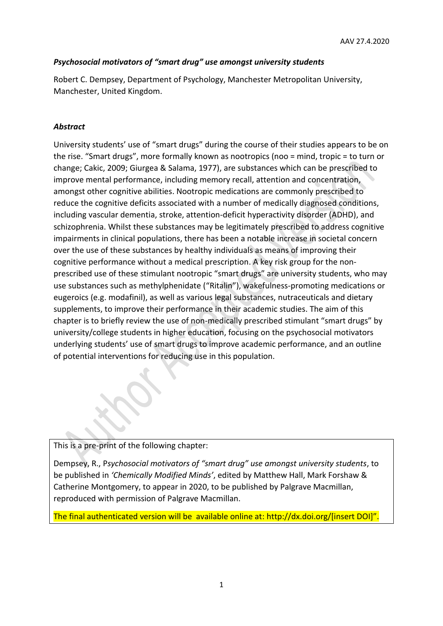# *Psychosocial motivators of "smart drug" use amongst university students*

Robert C. Dempsey, Department of Psychology, Manchester Metropolitan University, Manchester, United Kingdom.

# *Abstract*

University students' use of "smart drugs" during the course of their studies appears to be on the rise. "Smart drugs", more formally known as nootropics (noo = mind, tropic = to turn or change; Cakic, 2009; Giurgea & Salama, 1977), are substances which can be prescribed to improve mental performance, including memory recall, attention and concentration, amongst other cognitive abilities. Nootropic medications are commonly prescribed to reduce the cognitive deficits associated with a number of medically diagnosed conditions, including vascular dementia, stroke, attention-deficit hyperactivity disorder (ADHD), and schizophrenia. Whilst these substances may be legitimately prescribed to address cognitive impairments in clinical populations, there has been a notable increase in societal concern over the use of these substances by healthy individuals as means of improving their cognitive performance without a medical prescription. A key risk group for the nonprescribed use of these stimulant nootropic "smart drugs" are university students, who may use substances such as methylphenidate ("Ritalin"), wakefulness-promoting medications or eugeroics (e.g. modafinil), as well as various legal substances, nutraceuticals and dietary supplements, to improve their performance in their academic studies. The aim of this chapter is to briefly review the use of non-medically prescribed stimulant "smart drugs" by university/college students in higher education, focusing on the psychosocial motivators underlying students' use of smart drugs to improve academic performance, and an outline of potential interventions for reducing use in this population.



Dempsey, R., P*sychosocial motivators of "smart drug" use amongst university students*, to be published in *'Chemically Modified Minds'*, edited by Matthew Hall, Mark Forshaw & Catherine Montgomery, to appear in 2020, to be published by Palgrave Macmillan, reproduced with permission of Palgrave Macmillan.

The final authenticated version will be available online at: [http://dx.doi.org/\[i](http://dx.doi.org/)nsert DOI]".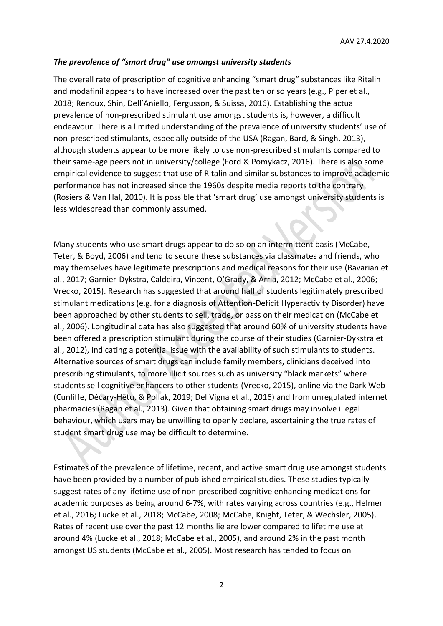## *The prevalence of "smart drug" use amongst university students*

The overall rate of prescription of cognitive enhancing "smart drug" substances like Ritalin and modafinil appears to have increased over the past ten or so years (e.g., Piper et al., 2018; Renoux, Shin, Dell'Aniello, Fergusson, & Suissa, 2016). Establishing the actual prevalence of non-prescribed stimulant use amongst students is, however, a difficult endeavour. There is a limited understanding of the prevalence of university students' use of non-prescribed stimulants, especially outside of the USA (Ragan, Bard, & Singh, 2013), although students appear to be more likely to use non-prescribed stimulants compared to their same-age peers not in university/college (Ford & Pomykacz, 2016). There is also some empirical evidence to suggest that use of Ritalin and similar substances to improve academic performance has not increased since the 1960s despite media reports to the contrary (Rosiers & Van Hal, 2010). It is possible that 'smart drug' use amongst university students is less widespread than commonly assumed.

Many students who use smart drugs appear to do so on an intermittent basis (McCabe, Teter, & Boyd, 2006) and tend to secure these substances via classmates and friends, who may themselves have legitimate prescriptions and medical reasons for their use (Bavarian et al., 2017; Garnier-Dykstra, Caldeira, Vincent, O'Grady, & Arria, 2012; McCabe et al., 2006; Vrecko, 2015). Research has suggested that around half of students legitimately prescribed stimulant medications (e.g. for a diagnosis of Attention-Deficit Hyperactivity Disorder) have been approached by other students to sell, trade, or pass on their medication (McCabe et al., 2006). Longitudinal data has also suggested that around 60% of university students have been offered a prescription stimulant during the course of their studies (Garnier-Dykstra et al., 2012), indicating a potential issue with the availability of such stimulants to students. Alternative sources of smart drugs can include family members, clinicians deceived into prescribing stimulants, to more illicit sources such as university "black markets" where students sell cognitive enhancers to other students (Vrecko, 2015), online via the Dark Web (Cunliffe, Décary-Hêtu, & Pollak, 2019; Del Vigna et al., 2016) and from unregulated internet pharmacies (Ragan et al., 2013). Given that obtaining smart drugs may involve illegal behaviour, which users may be unwilling to openly declare, ascertaining the true rates of student smart drug use may be difficult to determine.

Estimates of the prevalence of lifetime, recent, and active smart drug use amongst students have been provided by a number of published empirical studies. These studies typically suggest rates of any lifetime use of non-prescribed cognitive enhancing medications for academic purposes as being around 6-7%, with rates varying across countries (e.g., Helmer et al., 2016; Lucke et al., 2018; McCabe, 2008; McCabe, Knight, Teter, & Wechsler, 2005). Rates of recent use over the past 12 months lie are lower compared to lifetime use at around 4% (Lucke et al., 2018; McCabe et al., 2005), and around 2% in the past month amongst US students (McCabe et al., 2005). Most research has tended to focus on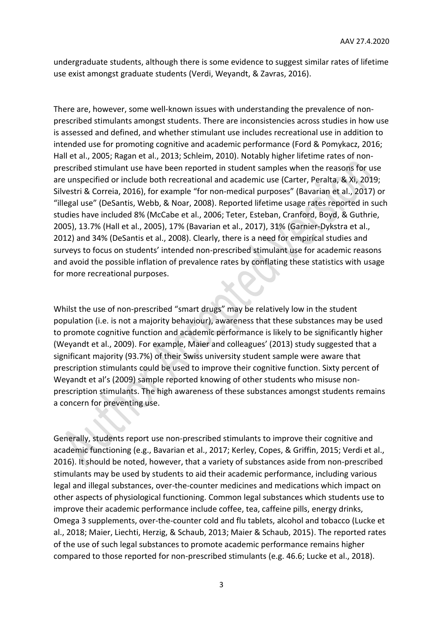undergraduate students, although there is some evidence to suggest similar rates of lifetime use exist amongst graduate students (Verdi, Weyandt, & Zavras, 2016).

There are, however, some well-known issues with understanding the prevalence of nonprescribed stimulants amongst students. There are inconsistencies across studies in how use is assessed and defined, and whether stimulant use includes recreational use in addition to intended use for promoting cognitive and academic performance (Ford & Pomykacz, 2016; Hall et al., 2005; Ragan et al., 2013; Schleim, 2010). Notably higher lifetime rates of nonprescribed stimulant use have been reported in student samples when the reasons for use are unspecified or include both recreational and academic use (Carter, Peralta, & Xi, 2019; Silvestri & Correia, 2016), for example "for non-medical purposes" (Bavarian et al., 2017) or "illegal use" (DeSantis, Webb, & Noar, 2008). Reported lifetime usage rates reported in such studies have included 8% (McCabe et al., 2006; Teter, Esteban, Cranford, Boyd, & Guthrie, 2005), 13.7% (Hall et al., 2005), 17% (Bavarian et al., 2017), 31% (Garnier-Dykstra et al., 2012) and 34% (DeSantis et al., 2008). Clearly, there is a need for empirical studies and surveys to focus on students' intended non-prescribed stimulant use for academic reasons and avoid the possible inflation of prevalence rates by conflating these statistics with usage for more recreational purposes.

Whilst the use of non-prescribed "smart drugs" may be relatively low in the student population (i.e. is not a majority behaviour), awareness that these substances may be used to promote cognitive function and academic performance is likely to be significantly higher (Weyandt et al., 2009). For example, Maier and colleagues' (2013) study suggested that a significant majority (93.7%) of their Swiss university student sample were aware that prescription stimulants could be used to improve their cognitive function. Sixty percent of Weyandt et al's (2009) sample reported knowing of other students who misuse nonprescription stimulants. The high awareness of these substances amongst students remains a concern for preventing use.

Generally, students report use non-prescribed stimulants to improve their cognitive and academic functioning (e.g., Bavarian et al., 2017; Kerley, Copes, & Griffin, 2015; Verdi et al., 2016). It should be noted, however, that a variety of substances aside from non-prescribed stimulants may be used by students to aid their academic performance, including various legal and illegal substances, over-the-counter medicines and medications which impact on other aspects of physiological functioning. Common legal substances which students use to improve their academic performance include coffee, tea, caffeine pills, energy drinks, Omega 3 supplements, over-the-counter cold and flu tablets, alcohol and tobacco (Lucke et al., 2018; Maier, Liechti, Herzig, & Schaub, 2013; Maier & Schaub, 2015). The reported rates of the use of such legal substances to promote academic performance remains higher compared to those reported for non-prescribed stimulants (e.g. 46.6; Lucke et al., 2018).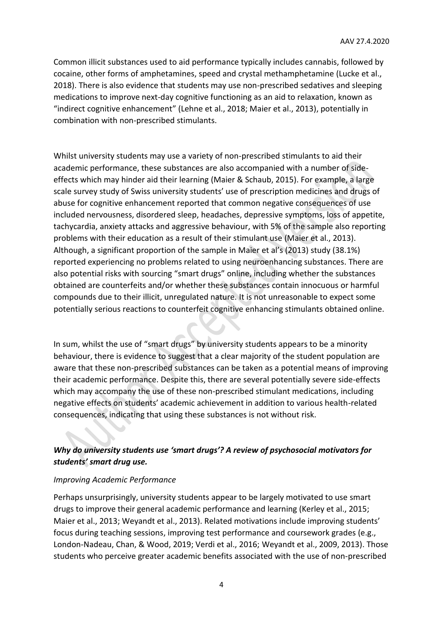Common illicit substances used to aid performance typically includes cannabis, followed by cocaine, other forms of amphetamines, speed and crystal methamphetamine (Lucke et al., 2018). There is also evidence that students may use non-prescribed sedatives and sleeping medications to improve next-day cognitive functioning as an aid to relaxation, known as "indirect cognitive enhancement" (Lehne et al., 2018; Maier et al., 2013), potentially in combination with non-prescribed stimulants.

Whilst university students may use a variety of non-prescribed stimulants to aid their academic performance, these substances are also accompanied with a number of sideeffects which may hinder aid their learning (Maier & Schaub, 2015). For example, a large scale survey study of Swiss university students' use of prescription medicines and drugs of abuse for cognitive enhancement reported that common negative consequences of use included nervousness, disordered sleep, headaches, depressive symptoms, loss of appetite, tachycardia, anxiety attacks and aggressive behaviour, with 5% of the sample also reporting problems with their education as a result of their stimulant use (Maier et al., 2013). Although, a significant proportion of the sample in Maier et al's (2013) study (38.1%) reported experiencing no problems related to using neuroenhancing substances. There are also potential risks with sourcing "smart drugs" online, including whether the substances obtained are counterfeits and/or whether these substances contain innocuous or harmful compounds due to their illicit, unregulated nature. It is not unreasonable to expect some potentially serious reactions to counterfeit cognitive enhancing stimulants obtained online.

In sum, whilst the use of "smart drugs" by university students appears to be a minority behaviour, there is evidence to suggest that a clear majority of the student population are aware that these non-prescribed substances can be taken as a potential means of improving their academic performance. Despite this, there are several potentially severe side-effects which may accompany the use of these non-prescribed stimulant medications, including negative effects on students' academic achievement in addition to various health-related consequences, indicating that using these substances is not without risk.

# *Why do university students use 'smart drugs'? A review of psychosocial motivators for students' smart drug use.*

## *Improving Academic Performance*

Perhaps unsurprisingly, university students appear to be largely motivated to use smart drugs to improve their general academic performance and learning (Kerley et al., 2015; Maier et al., 2013; Weyandt et al., 2013). Related motivations include improving students' focus during teaching sessions, improving test performance and coursework grades (e.g., London-Nadeau, Chan, & Wood, 2019; Verdi et al., 2016; Weyandt et al., 2009, 2013). Those students who perceive greater academic benefits associated with the use of non-prescribed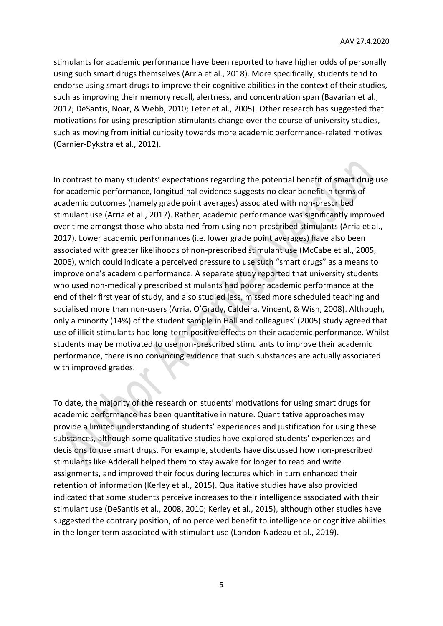stimulants for academic performance have been reported to have higher odds of personally using such smart drugs themselves (Arria et al., 2018). More specifically, students tend to endorse using smart drugs to improve their cognitive abilities in the context of their studies, such as improving their memory recall, alertness, and concentration span (Bavarian et al., 2017; DeSantis, Noar, & Webb, 2010; Teter et al., 2005). Other research has suggested that motivations for using prescription stimulants change over the course of university studies, such as moving from initial curiosity towards more academic performance-related motives (Garnier-Dykstra et al., 2012).

In contrast to many students' expectations regarding the potential benefit of smart drug use for academic performance, longitudinal evidence suggests no clear benefit in terms of academic outcomes (namely grade point averages) associated with non-prescribed stimulant use (Arria et al., 2017). Rather, academic performance was significantly improved over time amongst those who abstained from using non-prescribed stimulants (Arria et al., 2017). Lower academic performances (i.e. lower grade point averages) have also been associated with greater likelihoods of non-prescribed stimulant use (McCabe et al., 2005, 2006), which could indicate a perceived pressure to use such "smart drugs" as a means to improve one's academic performance. A separate study reported that university students who used non-medically prescribed stimulants had poorer academic performance at the end of their first year of study, and also studied less, missed more scheduled teaching and socialised more than non-users (Arria, O'Grady, Caldeira, Vincent, & Wish, 2008). Although, only a minority (14%) of the student sample in Hall and colleagues' (2005) study agreed that use of illicit stimulants had long-term positive effects on their academic performance. Whilst students may be motivated to use non-prescribed stimulants to improve their academic performance, there is no convincing evidence that such substances are actually associated with improved grades.

To date, the majority of the research on students' motivations for using smart drugs for academic performance has been quantitative in nature. Quantitative approaches may provide a limited understanding of students' experiences and justification for using these substances, although some qualitative studies have explored students' experiences and decisions to use smart drugs. For example, students have discussed how non-prescribed stimulants like Adderall helped them to stay awake for longer to read and write assignments, and improved their focus during lectures which in turn enhanced their retention of information (Kerley et al., 2015). Qualitative studies have also provided indicated that some students perceive increases to their intelligence associated with their stimulant use (DeSantis et al., 2008, 2010; Kerley et al., 2015), although other studies have suggested the contrary position, of no perceived benefit to intelligence or cognitive abilities in the longer term associated with stimulant use (London-Nadeau et al., 2019).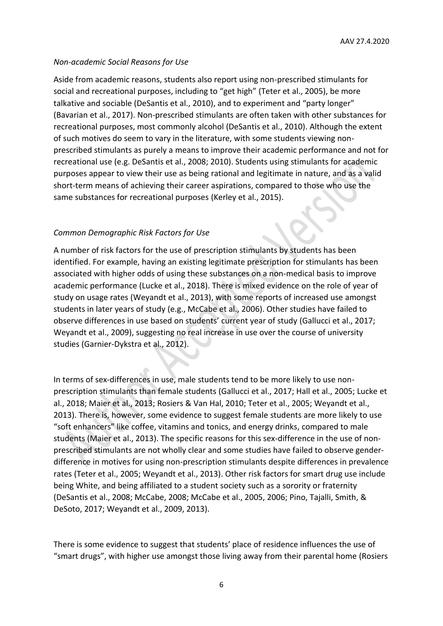## *Non-academic Social Reasons for Use*

Aside from academic reasons, students also report using non-prescribed stimulants for social and recreational purposes, including to "get high" (Teter et al., 2005), be more talkative and sociable (DeSantis et al., 2010), and to experiment and "party longer" (Bavarian et al., 2017). Non-prescribed stimulants are often taken with other substances for recreational purposes, most commonly alcohol (DeSantis et al., 2010). Although the extent of such motives do seem to vary in the literature, with some students viewing nonprescribed stimulants as purely a means to improve their academic performance and not for recreational use (e.g. DeSantis et al., 2008; 2010). Students using stimulants for academic purposes appear to view their use as being rational and legitimate in nature, and as a valid short-term means of achieving their career aspirations, compared to those who use the same substances for recreational purposes (Kerley et al., 2015).

## *Common Demographic Risk Factors for Use*

A number of risk factors for the use of prescription stimulants by students has been identified. For example, having an existing legitimate prescription for stimulants has been associated with higher odds of using these substances on a non-medical basis to improve academic performance (Lucke et al., 2018). There is mixed evidence on the role of year of study on usage rates (Weyandt et al., 2013), with some reports of increased use amongst students in later years of study (e.g., McCabe et al., 2006). Other studies have failed to observe differences in use based on students' current year of study (Gallucci et al., 2017; Weyandt et al., 2009), suggesting no real increase in use over the course of university studies (Garnier-Dykstra et al., 2012).

In terms of sex-differences in use, male students tend to be more likely to use nonprescription stimulants than female students (Gallucci et al., 2017; Hall et al., 2005; Lucke et al., 2018; Maier et al., 2013; Rosiers & Van Hal, 2010; Teter et al., 2005; Weyandt et al., 2013). There is, however, some evidence to suggest female students are more likely to use "soft enhancers" like coffee, vitamins and tonics, and energy drinks, compared to male students (Maier et al., 2013). The specific reasons for this sex-difference in the use of nonprescribed stimulants are not wholly clear and some studies have failed to observe genderdifference in motives for using non-prescription stimulants despite differences in prevalence rates (Teter et al., 2005; Weyandt et al., 2013). Other risk factors for smart drug use include being White, and being affiliated to a student society such as a sorority or fraternity (DeSantis et al., 2008; McCabe, 2008; McCabe et al., 2005, 2006; Pino, Tajalli, Smith, & DeSoto, 2017; Weyandt et al., 2009, 2013).

There is some evidence to suggest that students' place of residence influences the use of "smart drugs", with higher use amongst those living away from their parental home (Rosiers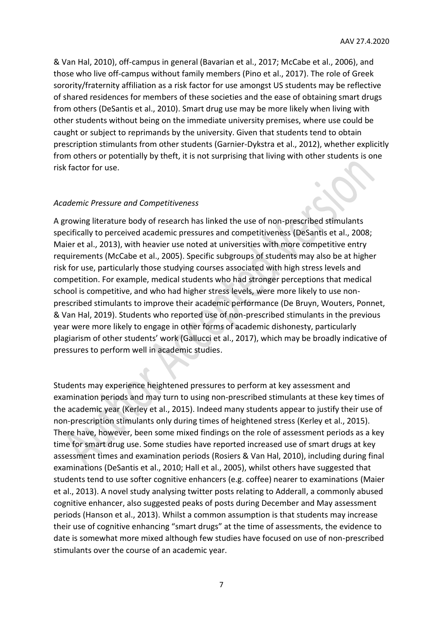& Van Hal, 2010), off-campus in general (Bavarian et al., 2017; McCabe et al., 2006), and those who live off-campus without family members (Pino et al., 2017). The role of Greek sorority/fraternity affiliation as a risk factor for use amongst US students may be reflective of shared residences for members of these societies and the ease of obtaining smart drugs from others (DeSantis et al., 2010). Smart drug use may be more likely when living with other students without being on the immediate university premises, where use could be caught or subject to reprimands by the university. Given that students tend to obtain prescription stimulants from other students (Garnier-Dykstra et al., 2012), whether explicitly from others or potentially by theft, it is not surprising that living with other students is one risk factor for use.

## *Academic Pressure and Competitiveness*

A growing literature body of research has linked the use of non-prescribed stimulants specifically to perceived academic pressures and competitiveness (DeSantis et al., 2008; Maier et al., 2013), with heavier use noted at universities with more competitive entry requirements (McCabe et al., 2005). Specific subgroups of students may also be at higher risk for use, particularly those studying courses associated with high stress levels and competition. For example, medical students who had stronger perceptions that medical school is competitive, and who had higher stress levels, were more likely to use nonprescribed stimulants to improve their academic performance (De Bruyn, Wouters, Ponnet, & Van Hal, 2019). Students who reported use of non-prescribed stimulants in the previous year were more likely to engage in other forms of academic dishonesty, particularly plagiarism of other students' work (Gallucci et al., 2017), which may be broadly indicative of pressures to perform well in academic studies.

Students may experience heightened pressures to perform at key assessment and examination periods and may turn to using non-prescribed stimulants at these key times of the academic year (Kerley et al., 2015). Indeed many students appear to justify their use of non-prescription stimulants only during times of heightened stress (Kerley et al., 2015). There have, however, been some mixed findings on the role of assessment periods as a key time for smart drug use. Some studies have reported increased use of smart drugs at key assessment times and examination periods (Rosiers & Van Hal, 2010), including during final examinations (DeSantis et al., 2010; Hall et al., 2005), whilst others have suggested that students tend to use softer cognitive enhancers (e.g. coffee) nearer to examinations (Maier et al., 2013). A novel study analysing twitter posts relating to Adderall, a commonly abused cognitive enhancer, also suggested peaks of posts during December and May assessment periods (Hanson et al., 2013). Whilst a common assumption is that students may increase their use of cognitive enhancing "smart drugs" at the time of assessments, the evidence to date is somewhat more mixed although few studies have focused on use of non-prescribed stimulants over the course of an academic year.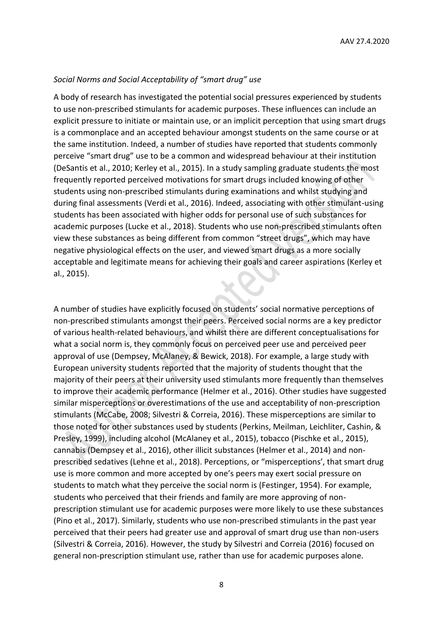#### *Social Norms and Social Acceptability of "smart drug" use*

A body of research has investigated the potential social pressures experienced by students to use non-prescribed stimulants for academic purposes. These influences can include an explicit pressure to initiate or maintain use, or an implicit perception that using smart drugs is a commonplace and an accepted behaviour amongst students on the same course or at the same institution. Indeed, a number of studies have reported that students commonly perceive "smart drug" use to be a common and widespread behaviour at their institution (DeSantis et al., 2010; Kerley et al., 2015). In a study sampling graduate students the most frequently reported perceived motivations for smart drugs included knowing of other students using non-prescribed stimulants during examinations and whilst studying and during final assessments (Verdi et al., 2016). Indeed, associating with other stimulant-using students has been associated with higher odds for personal use of such substances for academic purposes (Lucke et al., 2018). Students who use non-prescribed stimulants often view these substances as being different from common "street drugs", which may have negative physiological effects on the user, and viewed smart drugs as a more socially acceptable and legitimate means for achieving their goals and career aspirations (Kerley et al., 2015).

A number of studies have explicitly focused on students' social normative perceptions of non-prescribed stimulants amongst their peers. Perceived social norms are a key predictor of various health-related behaviours, and whilst there are different conceptualisations for what a social norm is, they commonly focus on perceived peer use and perceived peer approval of use (Dempsey, McAlaney, & Bewick, 2018). For example, a large study with European university students reported that the majority of students thought that the majority of their peers at their university used stimulants more frequently than themselves to improve their academic performance (Helmer et al., 2016). Other studies have suggested similar misperceptions or overestimations of the use and acceptability of non-prescription stimulants (McCabe, 2008; Silvestri & Correia, 2016). These misperceptions are similar to those noted for other substances used by students (Perkins, Meilman, Leichliter, Cashin, & Presley, 1999), including alcohol (McAlaney et al., 2015), tobacco (Pischke et al., 2015), cannabis (Dempsey et al., 2016), other illicit substances (Helmer et al., 2014) and nonprescribed sedatives (Lehne et al., 2018). Perceptions, or "misperceptions', that smart drug use is more common and more accepted by one's peers may exert social pressure on students to match what they perceive the social norm is (Festinger, 1954). For example, students who perceived that their friends and family are more approving of nonprescription stimulant use for academic purposes were more likely to use these substances (Pino et al., 2017). Similarly, students who use non-prescribed stimulants in the past year perceived that their peers had greater use and approval of smart drug use than non-users (Silvestri & Correia, 2016). However, the study by Silvestri and Correia (2016) focused on general non-prescription stimulant use, rather than use for academic purposes alone.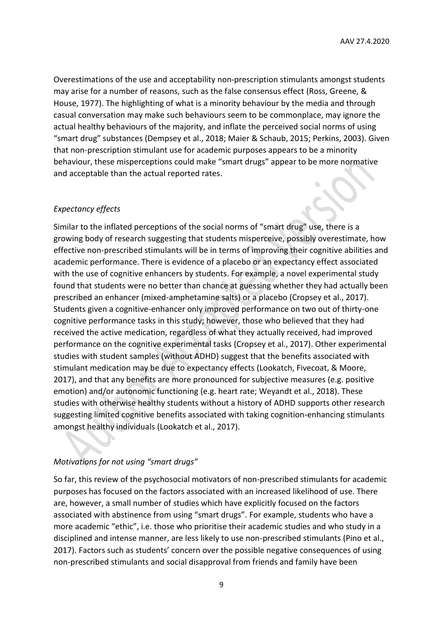Overestimations of the use and acceptability non-prescription stimulants amongst students may arise for a number of reasons, such as the false consensus effect (Ross, Greene, & House, 1977). The highlighting of what is a minority behaviour by the media and through casual conversation may make such behaviours seem to be commonplace, may ignore the actual healthy behaviours of the majority, and inflate the perceived social norms of using "smart drug" substances (Dempsey et al., 2018; Maier & Schaub, 2015; Perkins, 2003). Given that non-prescription stimulant use for academic purposes appears to be a minority behaviour, these misperceptions could make "smart drugs" appear to be more normative and acceptable than the actual reported rates.

## *Expectancy effects*

Similar to the inflated perceptions of the social norms of "smart drug" use, there is a growing body of research suggesting that students misperceive, possibly overestimate, how effective non-prescribed stimulants will be in terms of improving their cognitive abilities and academic performance. There is evidence of a placebo or an expectancy effect associated with the use of cognitive enhancers by students. For example, a novel experimental study found that students were no better than chance at guessing whether they had actually been prescribed an enhancer (mixed-amphetamine salts) or a placebo (Cropsey et al., 2017). Students given a cognitive-enhancer only improved performance on two out of thirty-one cognitive performance tasks in this study; however, those who believed that they had received the active medication, regardless of what they actually received, had improved performance on the cognitive experimental tasks (Cropsey et al., 2017). Other experimental studies with student samples (without ADHD) suggest that the benefits associated with stimulant medication may be due to expectancy effects (Lookatch, Fivecoat, & Moore, 2017), and that any benefits are more pronounced for subjective measures (e.g. positive emotion) and/or autonomic functioning (e.g. heart rate; Weyandt et al., 2018). These studies with otherwise healthy students without a history of ADHD supports other research suggesting limited cognitive benefits associated with taking cognition-enhancing stimulants amongst healthy individuals (Lookatch et al., 2017).

#### *Motivations for not using "smart drugs"*

So far, this review of the psychosocial motivators of non-prescribed stimulants for academic purposes has focused on the factors associated with an increased likelihood of use. There are, however, a small number of studies which have explicitly focused on the factors associated with abstinence from using "smart drugs". For example, students who have a more academic "ethic", i.e. those who prioritise their academic studies and who study in a disciplined and intense manner, are less likely to use non-prescribed stimulants (Pino et al., 2017). Factors such as students' concern over the possible negative consequences of using non-prescribed stimulants and social disapproval from friends and family have been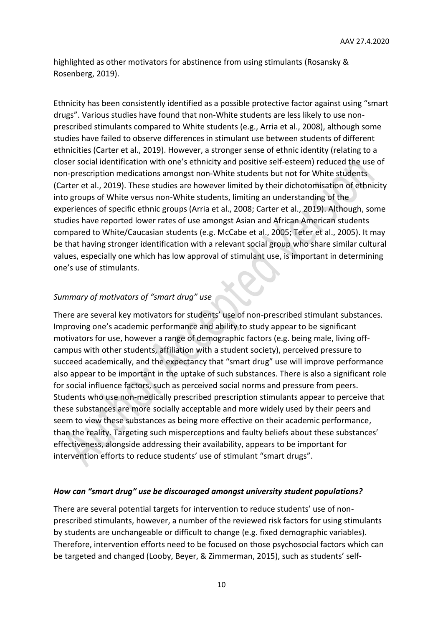highlighted as other motivators for abstinence from using stimulants (Rosansky & Rosenberg, 2019).

Ethnicity has been consistently identified as a possible protective factor against using "smart drugs". Various studies have found that non-White students are less likely to use nonprescribed stimulants compared to White students (e.g., Arria et al., 2008), although some studies have failed to observe differences in stimulant use between students of different ethnicities (Carter et al., 2019). However, a stronger sense of ethnic identity (relating to a closer social identification with one's ethnicity and positive self-esteem) reduced the use of non-prescription medications amongst non-White students but not for White students (Carter et al., 2019). These studies are however limited by their dichotomisation of ethnicity into groups of White versus non-White students, limiting an understanding of the experiences of specific ethnic groups (Arria et al., 2008; Carter et al., 2019). Although, some studies have reported lower rates of use amongst Asian and African American students compared to White/Caucasian students (e.g. McCabe et al., 2005; Teter et al., 2005). It may be that having stronger identification with a relevant social group who share similar cultural values, especially one which has low approval of stimulant use, is important in determining one's use of stimulants.

## *Summary of motivators of "smart drug" use*

There are several key motivators for students' use of non-prescribed stimulant substances. Improving one's academic performance and ability to study appear to be significant motivators for use, however a range of demographic factors (e.g. being male, living offcampus with other students, affiliation with a student society), perceived pressure to succeed academically, and the expectancy that "smart drug" use will improve performance also appear to be important in the uptake of such substances. There is also a significant role for social influence factors, such as perceived social norms and pressure from peers. Students who use non-medically prescribed prescription stimulants appear to perceive that these substances are more socially acceptable and more widely used by their peers and seem to view these substances as being more effective on their academic performance, than the reality. Targeting such misperceptions and faulty beliefs about these substances' effectiveness, alongside addressing their availability, appears to be important for intervention efforts to reduce students' use of stimulant "smart drugs".

## *How can "smart drug" use be discouraged amongst university student populations?*

There are several potential targets for intervention to reduce students' use of nonprescribed stimulants, however, a number of the reviewed risk factors for using stimulants by students are unchangeable or difficult to change (e.g. fixed demographic variables). Therefore, intervention efforts need to be focused on those psychosocial factors which can be targeted and changed (Looby, Beyer, & Zimmerman, 2015), such as students' self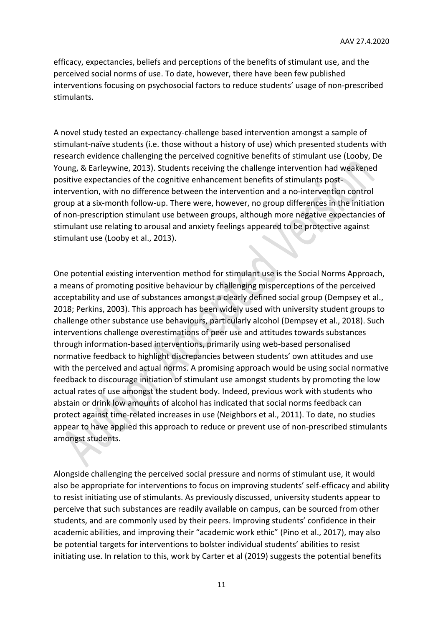efficacy, expectancies, beliefs and perceptions of the benefits of stimulant use, and the perceived social norms of use. To date, however, there have been few published interventions focusing on psychosocial factors to reduce students' usage of non-prescribed stimulants.

A novel study tested an expectancy-challenge based intervention amongst a sample of stimulant-naïve students (i.e. those without a history of use) which presented students with research evidence challenging the perceived cognitive benefits of stimulant use (Looby, De Young, & Earleywine, 2013). Students receiving the challenge intervention had weakened positive expectancies of the cognitive enhancement benefits of stimulants postintervention, with no difference between the intervention and a no-intervention control group at a six-month follow-up. There were, however, no group differences in the initiation of non-prescription stimulant use between groups, although more negative expectancies of stimulant use relating to arousal and anxiety feelings appeared to be protective against stimulant use (Looby et al., 2013).

One potential existing intervention method for stimulant use is the Social Norms Approach, a means of promoting positive behaviour by challenging misperceptions of the perceived acceptability and use of substances amongst a clearly defined social group (Dempsey et al., 2018; Perkins, 2003). This approach has been widely used with university student groups to challenge other substance use behaviours, particularly alcohol (Dempsey et al., 2018). Such interventions challenge overestimations of peer use and attitudes towards substances through information-based interventions, primarily using web-based personalised normative feedback to highlight discrepancies between students' own attitudes and use with the perceived and actual norms. A promising approach would be using social normative feedback to discourage initiation of stimulant use amongst students by promoting the low actual rates of use amongst the student body. Indeed, previous work with students who abstain or drink low amounts of alcohol has indicated that social norms feedback can protect against time-related increases in use (Neighbors et al., 2011). To date, no studies appear to have applied this approach to reduce or prevent use of non-prescribed stimulants amongst students.

Alongside challenging the perceived social pressure and norms of stimulant use, it would also be appropriate for interventions to focus on improving students' self-efficacy and ability to resist initiating use of stimulants. As previously discussed, university students appear to perceive that such substances are readily available on campus, can be sourced from other students, and are commonly used by their peers. Improving students' confidence in their academic abilities, and improving their "academic work ethic" (Pino et al., 2017), may also be potential targets for interventions to bolster individual students' abilities to resist initiating use. In relation to this, work by Carter et al (2019) suggests the potential benefits

 $\mathcal{L}_{\mathcal{D}}$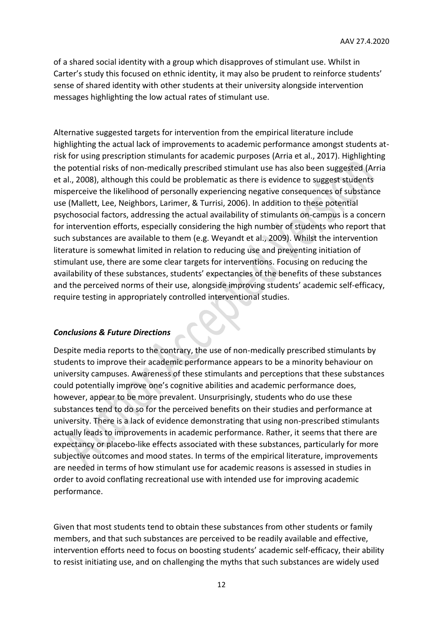of a shared social identity with a group which disapproves of stimulant use. Whilst in Carter's study this focused on ethnic identity, it may also be prudent to reinforce students' sense of shared identity with other students at their university alongside intervention messages highlighting the low actual rates of stimulant use.

Alternative suggested targets for intervention from the empirical literature include highlighting the actual lack of improvements to academic performance amongst students atrisk for using prescription stimulants for academic purposes (Arria et al., 2017). Highlighting the potential risks of non-medically prescribed stimulant use has also been suggested (Arria et al., 2008), although this could be problematic as there is evidence to suggest students misperceive the likelihood of personally experiencing negative consequences of substance use (Mallett, Lee, Neighbors, Larimer, & Turrisi, 2006). In addition to these potential psychosocial factors, addressing the actual availability of stimulants on-campus is a concern for intervention efforts, especially considering the high number of students who report that such substances are available to them (e.g. Weyandt et al., 2009). Whilst the intervention literature is somewhat limited in relation to reducing use and preventing initiation of stimulant use, there are some clear targets for interventions. Focusing on reducing the availability of these substances, students' expectancies of the benefits of these substances and the perceived norms of their use, alongside improving students' academic self-efficacy, require testing in appropriately controlled interventional studies.

## *Conclusions & Future Directions*

Despite media reports to the contrary, the use of non-medically prescribed stimulants by students to improve their academic performance appears to be a minority behaviour on university campuses. Awareness of these stimulants and perceptions that these substances could potentially improve one's cognitive abilities and academic performance does, however, appear to be more prevalent. Unsurprisingly, students who do use these substances tend to do so for the perceived benefits on their studies and performance at university. There is a lack of evidence demonstrating that using non-prescribed stimulants actually leads to improvements in academic performance. Rather, it seems that there are expectancy or placebo-like effects associated with these substances, particularly for more subjective outcomes and mood states. In terms of the empirical literature, improvements are needed in terms of how stimulant use for academic reasons is assessed in studies in order to avoid conflating recreational use with intended use for improving academic performance.

Given that most students tend to obtain these substances from other students or family members, and that such substances are perceived to be readily available and effective, intervention efforts need to focus on boosting students' academic self-efficacy, their ability to resist initiating use, and on challenging the myths that such substances are widely used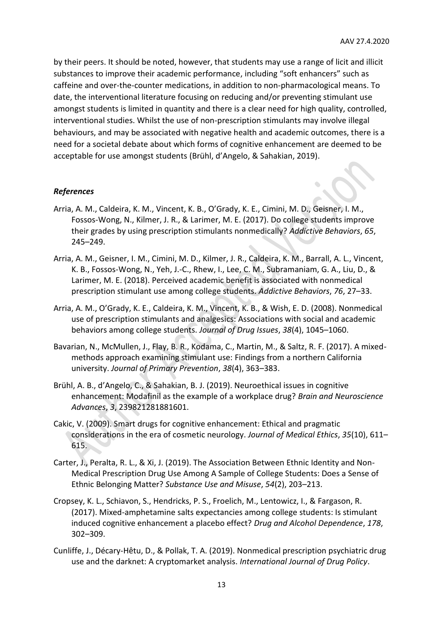by their peers. It should be noted, however, that students may use a range of licit and illicit substances to improve their academic performance, including "soft enhancers" such as caffeine and over-the-counter medications, in addition to non-pharmacological means. To date, the interventional literature focusing on reducing and/or preventing stimulant use amongst students is limited in quantity and there is a clear need for high quality, controlled, interventional studies. Whilst the use of non-prescription stimulants may involve illegal behaviours, and may be associated with negative health and academic outcomes, there is a need for a societal debate about which forms of cognitive enhancement are deemed to be acceptable for use amongst students (Brühl, d'Angelo, & Sahakian, 2019).

#### *References*

- Arria, A. M., Caldeira, K. M., Vincent, K. B., O'Grady, K. E., Cimini, M. D., Geisner, I. M., Fossos-Wong, N., Kilmer, J. R., & Larimer, M. E. (2017). Do college students improve their grades by using prescription stimulants nonmedically? *Addictive Behaviors*, *65*, 245–249.
- Arria, A. M., Geisner, I. M., Cimini, M. D., Kilmer, J. R., Caldeira, K. M., Barrall, A. L., Vincent, K. B., Fossos-Wong, N., Yeh, J.-C., Rhew, I., Lee, C. M., Subramaniam, G. A., Liu, D., & Larimer, M. E. (2018). Perceived academic benefit is associated with nonmedical prescription stimulant use among college students. *Addictive Behaviors*, *76*, 27–33.
- Arria, A. M., O'Grady, K. E., Caldeira, K. M., Vincent, K. B., & Wish, E. D. (2008). Nonmedical use of prescription stimulants and analgesics: Associations with social and academic behaviors among college students. *Journal of Drug Issues*, *38*(4), 1045–1060.
- Bavarian, N., McMullen, J., Flay, B. R., Kodama, C., Martin, M., & Saltz, R. F. (2017). A mixedmethods approach examining stimulant use: Findings from a northern California university. *Journal of Primary Prevention*, *38*(4), 363–383.
- Brühl, A. B., d'Angelo, C., & Sahakian, B. J. (2019). Neuroethical issues in cognitive enhancement: Modafinil as the example of a workplace drug? *Brain and Neuroscience Advances*, *3*, 239821281881601.
- Cakic, V. (2009). Smart drugs for cognitive enhancement: Ethical and pragmatic considerations in the era of cosmetic neurology. *Journal of Medical Ethics*, *35*(10), 611– 615.
- Carter, J., Peralta, R. L., & Xi, J. (2019). The Association Between Ethnic Identity and Non-Medical Prescription Drug Use Among A Sample of College Students: Does a Sense of Ethnic Belonging Matter? *Substance Use and Misuse*, *54*(2), 203–213.
- Cropsey, K. L., Schiavon, S., Hendricks, P. S., Froelich, M., Lentowicz, I., & Fargason, R. (2017). Mixed-amphetamine salts expectancies among college students: Is stimulant induced cognitive enhancement a placebo effect? *Drug and Alcohol Dependence*, *178*, 302–309.
- Cunliffe, J., Décary-Hêtu, D., & Pollak, T. A. (2019). Nonmedical prescription psychiatric drug use and the darknet: A cryptomarket analysis. *International Journal of Drug Policy*.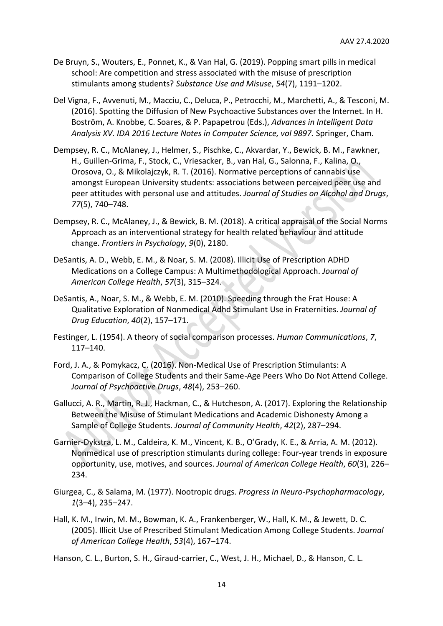- De Bruyn, S., Wouters, E., Ponnet, K., & Van Hal, G. (2019). Popping smart pills in medical school: Are competition and stress associated with the misuse of prescription stimulants among students? *Substance Use and Misuse*, *54*(7), 1191–1202.
- Del Vigna, F., Avvenuti, M., Macciu, C., Deluca, P., Petrocchi, M., Marchetti, A., & Tesconi, M. (2016). Spotting the Diffusion of New Psychoactive Substances over the Internet. In H. Boström, A. Knobbe, C. Soares, & P. Papapetrou (Eds.), *Advances in Intelligent Data Analysis XV. IDA 2016 Lecture Notes in Computer Science, vol 9897.* Springer, Cham.
- Dempsey, R. C., McAlaney, J., Helmer, S., Pischke, C., Akvardar, Y., Bewick, B. M., Fawkner, H., Guillen-Grima, F., Stock, C., Vriesacker, B., van Hal, G., Salonna, F., Kalina, O., Orosova, O., & Mikolajczyk, R. T. (2016). Normative perceptions of cannabis use amongst European University students: associations between perceived peer use and peer attitudes with personal use and attitudes. *Journal of Studies on Alcohol and Drugs*, *77*(5), 740–748.
- Dempsey, R. C., McAlaney, J., & Bewick, B. M. (2018). A critical appraisal of the Social Norms Approach as an interventional strategy for health related behaviour and attitude change. *Frontiers in Psychology*, *9*(0), 2180.
- DeSantis, A. D., Webb, E. M., & Noar, S. M. (2008). Illicit Use of Prescription ADHD Medications on a College Campus: A Multimethodological Approach. *Journal of American College Health*, *57*(3), 315–324.
- DeSantis, A., Noar, S. M., & Webb, E. M. (2010). Speeding through the Frat House: A Qualitative Exploration of Nonmedical Adhd Stimulant Use in Fraternities. *Journal of Drug Education*, *40*(2), 157–171.
- Festinger, L. (1954). A theory of social comparison processes. *Human Communications*, *7*, 117–140.
- Ford, J. A., & Pomykacz, C. (2016). Non-Medical Use of Prescription Stimulants: A Comparison of College Students and their Same-Age Peers Who Do Not Attend College. *Journal of Psychoactive Drugs*, *48*(4), 253–260.
- Gallucci, A. R., Martin, R. J., Hackman, C., & Hutcheson, A. (2017). Exploring the Relationship Between the Misuse of Stimulant Medications and Academic Dishonesty Among a Sample of College Students. *Journal of Community Health*, *42*(2), 287–294.
- Garnier-Dykstra, L. M., Caldeira, K. M., Vincent, K. B., O'Grady, K. E., & Arria, A. M. (2012). Nonmedical use of prescription stimulants during college: Four-year trends in exposure opportunity, use, motives, and sources. *Journal of American College Health*, *60*(3), 226– 234.
- Giurgea, C., & Salama, M. (1977). Nootropic drugs. *Progress in Neuro-Psychopharmacology*, *1*(3–4), 235–247.
- Hall, K. M., Irwin, M. M., Bowman, K. A., Frankenberger, W., Hall, K. M., & Jewett, D. C. (2005). Illicit Use of Prescribed Stimulant Medication Among College Students. *Journal of American College Health*, *53*(4), 167–174.

Hanson, C. L., Burton, S. H., Giraud-carrier, C., West, J. H., Michael, D., & Hanson, C. L.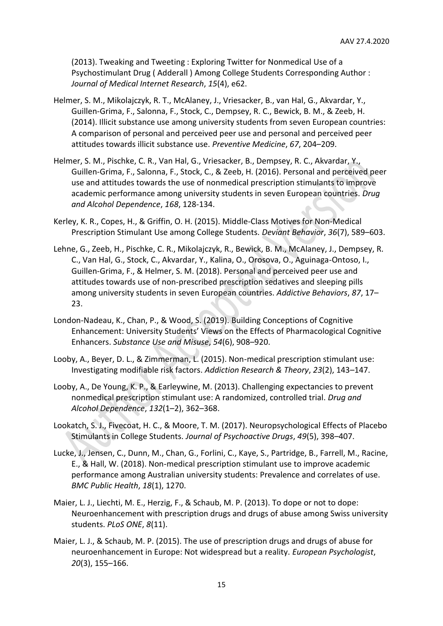(2013). Tweaking and Tweeting : Exploring Twitter for Nonmedical Use of a Psychostimulant Drug ( Adderall ) Among College Students Corresponding Author : *Journal of Medical Internet Research*, *15*(4), e62.

- Helmer, S. M., Mikolajczyk, R. T., McAlaney, J., Vriesacker, B., van Hal, G., Akvardar, Y., Guillen-Grima, F., Salonna, F., Stock, C., Dempsey, R. C., Bewick, B. M., & Zeeb, H. (2014). Illicit substance use among university students from seven European countries: A comparison of personal and perceived peer use and personal and perceived peer attitudes towards illicit substance use. *Preventive Medicine*, *67*, 204–209.
- Helmer, S. M., Pischke, C. R., Van Hal, G., Vriesacker, B., Dempsey, R. C., Akvardar, Y., Guillen-Grima, F., Salonna, F., Stock, C., & Zeeb, H. (2016). Personal and perceived peer use and attitudes towards the use of nonmedical prescription stimulants to improve academic performance among university students in seven European countries. *Drug and Alcohol Dependence*, *168*, 128-134.
- Kerley, K. R., Copes, H., & Griffin, O. H. (2015). Middle-Class Motives for Non-Medical Prescription Stimulant Use among College Students. *Deviant Behavior*, *36*(7), 589–603.
- Lehne, G., Zeeb, H., Pischke, C. R., Mikolajczyk, R., Bewick, B. M., McAlaney, J., Dempsey, R. C., Van Hal, G., Stock, C., Akvardar, Y., Kalina, O., Orosova, O., Aguinaga-Ontoso, I., Guillen-Grima, F., & Helmer, S. M. (2018). Personal and perceived peer use and attitudes towards use of non-prescribed prescription sedatives and sleeping pills among university students in seven European countries. *Addictive Behaviors*, *87*, 17– 23.
- London-Nadeau, K., Chan, P., & Wood, S. (2019). Building Conceptions of Cognitive Enhancement: University Students' Views on the Effects of Pharmacological Cognitive Enhancers. *Substance Use and Misuse*, *54*(6), 908–920.
- Looby, A., Beyer, D. L., & Zimmerman, L. (2015). Non-medical prescription stimulant use: Investigating modifiable risk factors. *Addiction Research & Theory*, *23*(2), 143–147.
- Looby, A., De Young, K. P., & Earleywine, M. (2013). Challenging expectancies to prevent nonmedical prescription stimulant use: A randomized, controlled trial. *Drug and Alcohol Dependence*, *132*(1–2), 362–368.
- Lookatch, S. J., Fivecoat, H. C., & Moore, T. M. (2017). Neuropsychological Effects of Placebo Stimulants in College Students. *Journal of Psychoactive Drugs*, *49*(5), 398–407.
- Lucke, J., Jensen, C., Dunn, M., Chan, G., Forlini, C., Kaye, S., Partridge, B., Farrell, M., Racine, E., & Hall, W. (2018). Non-medical prescription stimulant use to improve academic performance among Australian university students: Prevalence and correlates of use. *BMC Public Health*, *18*(1), 1270.
- Maier, L. J., Liechti, M. E., Herzig, F., & Schaub, M. P. (2013). To dope or not to dope: Neuroenhancement with prescription drugs and drugs of abuse among Swiss university students. *PLoS ONE*, *8*(11).
- Maier, L. J., & Schaub, M. P. (2015). The use of prescription drugs and drugs of abuse for neuroenhancement in Europe: Not widespread but a reality. *European Psychologist*, *20*(3), 155–166.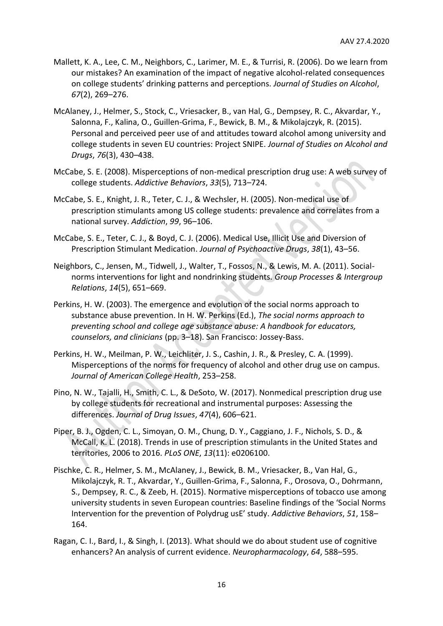- Mallett, K. A., Lee, C. M., Neighbors, C., Larimer, M. E., & Turrisi, R. (2006). Do we learn from our mistakes? An examination of the impact of negative alcohol-related consequences on college students' drinking patterns and perceptions. *Journal of Studies on Alcohol*, *67*(2), 269–276.
- McAlaney, J., Helmer, S., Stock, C., Vriesacker, B., van Hal, G., Dempsey, R. C., Akvardar, Y., Salonna, F., Kalina, O., Guillen-Grima, F., Bewick, B. M., & Mikolajczyk, R. (2015). Personal and perceived peer use of and attitudes toward alcohol among university and college students in seven EU countries: Project SNIPE. *Journal of Studies on Alcohol and Drugs*, *76*(3), 430–438.
- McCabe, S. E. (2008). Misperceptions of non-medical prescription drug use: A web survey of college students. *Addictive Behaviors*, *33*(5), 713–724.
- McCabe, S. E., Knight, J. R., Teter, C. J., & Wechsler, H. (2005). Non-medical use of prescription stimulants among US college students: prevalence and correlates from a national survey. *Addiction*, *99*, 96–106.
- McCabe, S. E., Teter, C. J., & Boyd, C. J. (2006). Medical Use, Illicit Use and Diversion of Prescription Stimulant Medication. *Journal of Psychoactive Drugs*, *38*(1), 43–56.
- Neighbors, C., Jensen, M., Tidwell, J., Walter, T., Fossos, N., & Lewis, M. A. (2011). Socialnorms interventions for light and nondrinking students. *Group Processes & Intergroup Relations*, *14*(5), 651–669.
- Perkins, H. W. (2003). The emergence and evolution of the social norms approach to substance abuse prevention. In H. W. Perkins (Ed.), *The social norms approach to preventing school and college age substance abuse: A handbook for educators, counselors, and clinicians* (pp. 3–18). San Francisco: Jossey-Bass.
- Perkins, H. W., Meilman, P. W., Leichliter, J. S., Cashin, J. R., & Presley, C. A. (1999). Misperceptions of the norms for frequency of alcohol and other drug use on campus. *Journal of American College Health*, 253–258.
- Pino, N. W., Tajalli, H., Smith, C. L., & DeSoto, W. (2017). Nonmedical prescription drug use by college students for recreational and instrumental purposes: Assessing the differences. *Journal of Drug Issues*, *47*(4), 606–621.
- Piper, B. J., Ogden, C. L., Simoyan, O. M., Chung, D. Y., Caggiano, J. F., Nichols, S. D., & McCall, K. L. (2018). Trends in use of prescription stimulants in the United States and territories, 2006 to 2016. *PLoS ONE*, *13*(11): e0206100.
- Pischke, C. R., Helmer, S. M., McAlaney, J., Bewick, B. M., Vriesacker, B., Van Hal, G., Mikolajczyk, R. T., Akvardar, Y., Guillen-Grima, F., Salonna, F., Orosova, O., Dohrmann, S., Dempsey, R. C., & Zeeb, H. (2015). Normative misperceptions of tobacco use among university students in seven European countries: Baseline findings of the 'Social Norms Intervention for the prevention of Polydrug usE' study. *Addictive Behaviors*, *51*, 158– 164.
- Ragan, C. I., Bard, I., & Singh, I. (2013). What should we do about student use of cognitive enhancers? An analysis of current evidence. *Neuropharmacology*, *64*, 588–595.